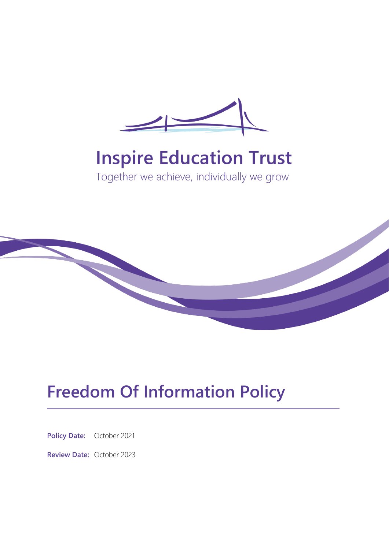

# **Inspire Education Trust**

Together we achieve, individually we grow



# **Freedom Of Information Policy**

**Policy Date:** October 2021

**Review Date:** October 2023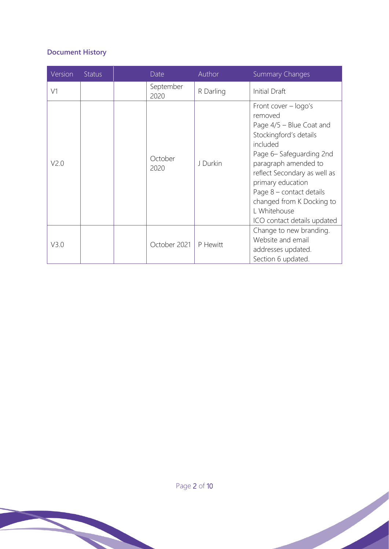# **Document History**

| Version          | Status | Date              | Author    | <b>Summary Changes</b>                                                                                                                                                                                                                                                                                              |
|------------------|--------|-------------------|-----------|---------------------------------------------------------------------------------------------------------------------------------------------------------------------------------------------------------------------------------------------------------------------------------------------------------------------|
| V1               |        | September<br>2020 | R Darling | Initial Draft                                                                                                                                                                                                                                                                                                       |
| V <sub>2.0</sub> |        | October<br>2020   | J Durkin  | Front cover $-$ logo's<br>removed<br>Page 4/5 - Blue Coat and<br>Stockingford's details<br>included<br>Page 6-Safeguarding 2nd<br>paragraph amended to<br>reflect Secondary as well as<br>primary education<br>Page 8 – contact details<br>changed from K Docking to<br>L Whitehouse<br>ICO contact details updated |
| V3.0             |        | October 2021      | P Hewitt  | Change to new branding.<br>Website and email<br>addresses updated.<br>Section 6 updated.                                                                                                                                                                                                                            |

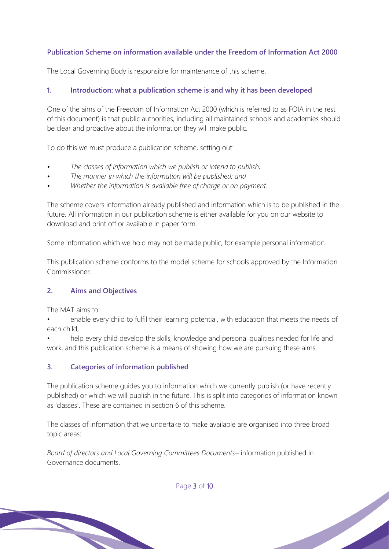# **Publication Scheme on information available under the Freedom of Information Act 2000**

The Local Governing Body is responsible for maintenance of this scheme.

#### **1. Introduction: what a publication scheme is and why it has been developed**

One of the aims of the Freedom of Information Act 2000 (which is referred to as FOIA in the rest of this document) is that public authorities, including all maintained schools and academies should be clear and proactive about the information they will make public.

To do this we must produce a publication scheme, setting out:

- *• The classes of information which we publish or intend to publish;*
- *• The manner in which the information will be published; and*
- *• Whether the information is available free of charge or on payment.*

The scheme covers information already published and information which is to be published in the future. All information in our publication scheme is either available for you on our website to download and print off or available in paper form.

Some information which we hold may not be made public, for example personal information.

This publication scheme conforms to the model scheme for schools approved by the Information Commissioner.

# **2. Aims and Objectives**

The MAT aims to:

• enable every child to fulfil their learning potential, with education that meets the needs of each child,

help every child develop the skills, knowledge and personal qualities needed for life and work, and this publication scheme is a means of showing how we are pursuing these aims.

#### **3. Categories of information published**

The publication scheme guides you to information which we currently publish (or have recently published) or which we will publish in the future. This is split into categories of information known as 'classes'. These are contained in section 6 of this scheme.

The classes of information that we undertake to make available are organised into three broad topic areas:

*Board of directors and Local Governing Committees Documents*– information published in Governance documents.

Page 3 of 10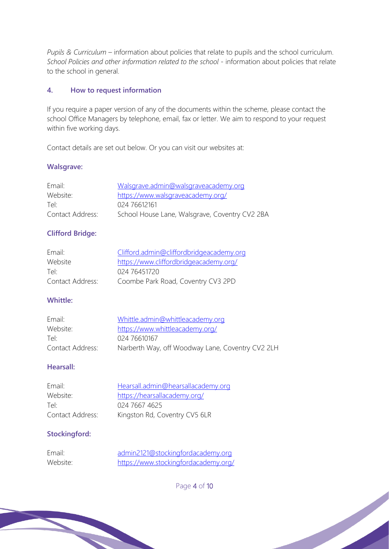*Pupils & Curriculum* – information about policies that relate to pupils and the school curriculum. *School Policies and other information related to the school* - information about policies that relate to the school in general.

#### **4. How to request information**

If you require a paper version of any of the documents within the scheme, please contact the school Office Managers by telephone, email, fax or letter. We aim to respond to your request within five working days.

Contact details are set out below. Or you can visit our websites at:

#### **Walsgrave:**

| Email:           | Walsgrave.admin@walsgraveacademy.org           |
|------------------|------------------------------------------------|
| Website:         | https://www.walsgraveacademy.org/              |
| Tel <sup>.</sup> | 024 76612161                                   |
| Contact Address: | School House Lane, Walsgrave, Coventry CV2 2BA |

# **Clifford Bridge:**

| Email:           | Clifford.admin@cliffordbridgeacademy.org |
|------------------|------------------------------------------|
| Website          | https://www.cliffordbridgeacademy.org/   |
| Tel <sup>.</sup> | 024 76451720                             |
| Contact Address: | Coombe Park Road, Coventry CV3 2PD       |

#### **Whittle:**

| Email:           | Whittle.admin@whittleacademy.org                 |
|------------------|--------------------------------------------------|
| Website:         | https://www.whittleacademy.org/                  |
| Tel <sup>-</sup> | 024 76610167                                     |
| Contact Address: | Narberth Way, off Woodway Lane, Coventry CV2 2LH |

#### **Hearsall:**

| Email:           | Hearsall.admin@hearsallacademy.org |
|------------------|------------------------------------|
| Website:         | https://hearsallacademy.org/       |
| Tel <sup>-</sup> | 024 7667 4625                      |
| Contact Address: | Kingston Rd, Coventry CV5 6LR      |

# **Stockingford:**

| Email:   | admin2121@stockingfordacademy.org    |
|----------|--------------------------------------|
| Website: | https://www.stockingfordacademy.org/ |

Page 4 of 10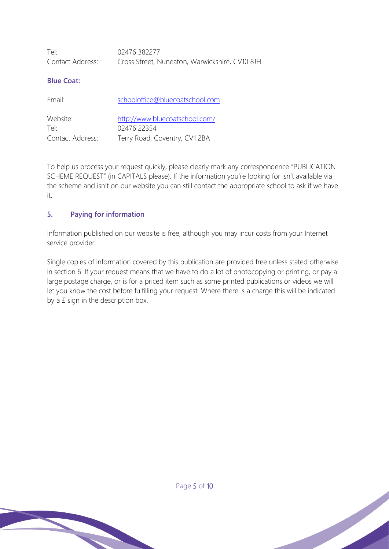| Tel:             | 02476 382277                                   |
|------------------|------------------------------------------------|
| Contact Address: | Cross Street, Nuneaton, Warwickshire, CV10 8JH |

#### **Blue Coat:**

| Email:           | schooloffice@bluecoatschool.com |
|------------------|---------------------------------|
| Website:         | http://www.bluecoatschool.com/  |
| Tel <sup>.</sup> | 02476 22354                     |
| Contact Address: | Terry Road, Coventry, CV1 2BA   |

To help us process your request quickly, please clearly mark any correspondence "PUBLICATION SCHEME REQUEST" (in CAPITALS please). If the information you're looking for isn't available via the scheme and isn't on our website you can still contact the appropriate school to ask if we have it.

#### **5. Paying for information**

Information published on our website is free, although you may incur costs from your Internet service provider.

Single copies of information covered by this publication are provided free unless stated otherwise in section 6. If your request means that we have to do a lot of photocopying or printing, or pay a large postage charge, or is for a priced item such as some printed publications or videos we will let you know the cost before fulfilling your request. Where there is a charge this will be indicated by a £ sign in the description box.

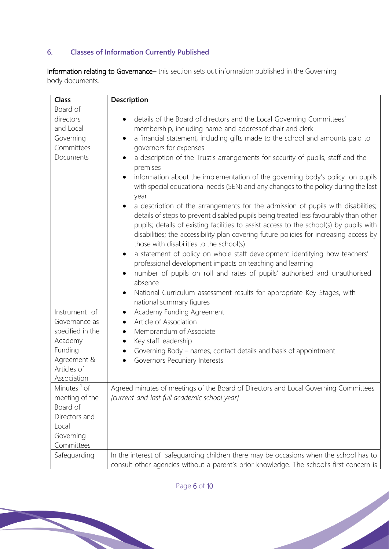# **6. Classes of Information Currently Published**

Information relating to Governance– this section sets out information published in the Governing body documents.

| Class                   | Description                                                                                                                                                                                                                                                                                                                                                                                               |
|-------------------------|-----------------------------------------------------------------------------------------------------------------------------------------------------------------------------------------------------------------------------------------------------------------------------------------------------------------------------------------------------------------------------------------------------------|
| Board of                |                                                                                                                                                                                                                                                                                                                                                                                                           |
| directors               | details of the Board of directors and the Local Governing Committees'                                                                                                                                                                                                                                                                                                                                     |
| and Local               | membership, including name and address of chair and clerk                                                                                                                                                                                                                                                                                                                                                 |
| Governing               | a financial statement, including gifts made to the school and amounts paid to                                                                                                                                                                                                                                                                                                                             |
| Committees              | governors for expenses                                                                                                                                                                                                                                                                                                                                                                                    |
| Documents               | a description of the Trust's arrangements for security of pupils, staff and the<br>premises                                                                                                                                                                                                                                                                                                               |
|                         | information about the implementation of the governing body's policy on pupils<br>with special educational needs (SEN) and any changes to the policy during the last<br>year                                                                                                                                                                                                                               |
|                         | a description of the arrangements for the admission of pupils with disabilities;<br>details of steps to prevent disabled pupils being treated less favourably than other<br>pupils; details of existing facilities to assist access to the school(s) by pupils with<br>disabilities; the accessibility plan covering future policies for increasing access by<br>those with disabilities to the school(s) |
|                         | a statement of policy on whole staff development identifying how teachers'                                                                                                                                                                                                                                                                                                                                |
|                         | professional development impacts on teaching and learning                                                                                                                                                                                                                                                                                                                                                 |
|                         | number of pupils on roll and rates of pupils' authorised and unauthorised                                                                                                                                                                                                                                                                                                                                 |
|                         | absence                                                                                                                                                                                                                                                                                                                                                                                                   |
|                         | National Curriculum assessment results for appropriate Key Stages, with                                                                                                                                                                                                                                                                                                                                   |
|                         | national summary figures                                                                                                                                                                                                                                                                                                                                                                                  |
| Instrument of           | Academy Funding Agreement                                                                                                                                                                                                                                                                                                                                                                                 |
| Governance as           | Article of Association                                                                                                                                                                                                                                                                                                                                                                                    |
| specified in the        | Memorandum of Associate                                                                                                                                                                                                                                                                                                                                                                                   |
| Academy                 | Key staff leadership                                                                                                                                                                                                                                                                                                                                                                                      |
| Funding                 | Governing Body – names, contact details and basis of appointment                                                                                                                                                                                                                                                                                                                                          |
| Agreement &             | Governors Pecuniary Interests                                                                                                                                                                                                                                                                                                                                                                             |
| Articles of             |                                                                                                                                                                                                                                                                                                                                                                                                           |
| Association             |                                                                                                                                                                                                                                                                                                                                                                                                           |
| Minutes <sup>1</sup> of | Agreed minutes of meetings of the Board of Directors and Local Governing Committees                                                                                                                                                                                                                                                                                                                       |
| meeting of the          | [current and last full academic school year]                                                                                                                                                                                                                                                                                                                                                              |
| Board of                |                                                                                                                                                                                                                                                                                                                                                                                                           |
| Directors and           |                                                                                                                                                                                                                                                                                                                                                                                                           |
| Local                   |                                                                                                                                                                                                                                                                                                                                                                                                           |
| Governing               |                                                                                                                                                                                                                                                                                                                                                                                                           |
| Committees              |                                                                                                                                                                                                                                                                                                                                                                                                           |
| Safeguarding            | In the interest of safeguarding children there may be occasions when the school has to                                                                                                                                                                                                                                                                                                                    |
|                         | consult other agencies without a parent's prior knowledge. The school's first concern is                                                                                                                                                                                                                                                                                                                  |

Page 6 of 10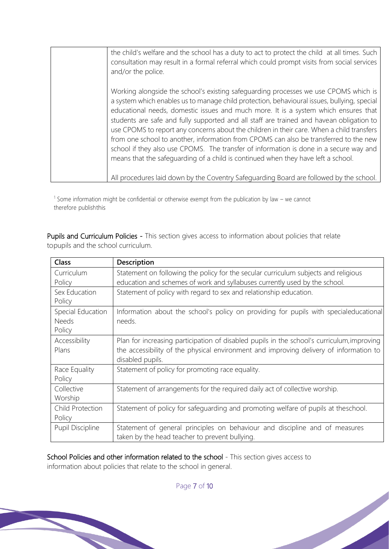| the child's welfare and the school has a duty to act to protect the child at all times. Such<br>consultation may result in a formal referral which could prompt visits from social services<br>and/or the police.                                                                                                                                                                                                                                                                                                                                                                                                                                                                                                                           |
|---------------------------------------------------------------------------------------------------------------------------------------------------------------------------------------------------------------------------------------------------------------------------------------------------------------------------------------------------------------------------------------------------------------------------------------------------------------------------------------------------------------------------------------------------------------------------------------------------------------------------------------------------------------------------------------------------------------------------------------------|
| Working alongside the school's existing safeguarding processes we use CPOMS which is<br>a system which enables us to manage child protection, behavioural issues, bullying, special<br>educational needs, domestic issues and much more. It is a system which ensures that<br>students are safe and fully supported and all staff are trained and havean obligation to<br>use CPOMS to report any concerns about the children in their care. When a child transfers<br>from one school to another, information from CPOMS can also be transferred to the new<br>school if they also use CPOMS. The transfer of information is done in a secure way and<br>means that the safeguarding of a child is continued when they have left a school. |
| All procedures laid down by the Coventry Safeguarding Board are followed by the school.                                                                                                                                                                                                                                                                                                                                                                                                                                                                                                                                                                                                                                                     |

<sup>1</sup> Some information might be confidential or otherwise exempt from the publication by law – we cannot therefore publishthis

Pupils and Curriculum Policies - This section gives access to information about policies that relate topupils and the school curriculum.

| <b>Class</b>            | Description                                                                                |
|-------------------------|--------------------------------------------------------------------------------------------|
| Curriculum              | Statement on following the policy for the secular curriculum subjects and religious        |
| Policy                  | education and schemes of work and syllabuses currently used by the school.                 |
| Sex Education           | Statement of policy with regard to sex and relationship education.                         |
| Policy                  |                                                                                            |
| Special Education       | Information about the school's policy on providing for pupils with specialeducational      |
| <b>Needs</b>            | needs.                                                                                     |
| Policy                  |                                                                                            |
| Accessibility           | Plan for increasing participation of disabled pupils in the school's curriculum, improving |
| Plans                   | the accessibility of the physical environment and improving delivery of information to     |
|                         | disabled pupils.                                                                           |
| Race Equality           | Statement of policy for promoting race equality.                                           |
| Policy                  |                                                                                            |
| Collective              | Statement of arrangements for the required daily act of collective worship.                |
| Worship                 |                                                                                            |
| Child Protection        | Statement of policy for safeguarding and promoting welfare of pupils at theschool.         |
| Policy                  |                                                                                            |
| <b>Pupil Discipline</b> | Statement of general principles on behaviour and discipline and of measures                |
|                         | taken by the head teacher to prevent bullying.                                             |

School Policies and other information related to the school - This section gives access to information about policies that relate to the school in general.

Page 7 of 10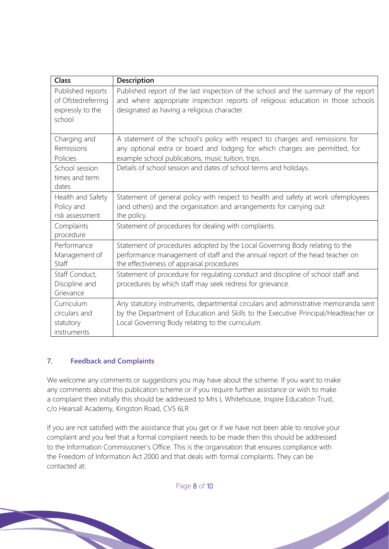| <b>Class</b>                                                          | Description                                                                                                                                                                                                                    |
|-----------------------------------------------------------------------|--------------------------------------------------------------------------------------------------------------------------------------------------------------------------------------------------------------------------------|
| Published reports<br>of Ofstedreferring<br>expressly to the<br>school | Published report of the last inspection of the school and the summary of the report<br>and where appropriate inspection reports of religious education in those schools<br>designated as having a religious character.         |
| Charging and<br>Remissions<br>Policies                                | A statement of the school's policy with respect to charges and remissions for<br>any optional extra or board and lodging for which charges are permitted, for<br>example school publications, music tuition, trips.            |
| School session<br>times and term<br>dates                             | Details of school session and dates of school terms and holidays.                                                                                                                                                              |
| Health and Safety<br>Policy and<br>risk assessment                    | Statement of general policy with respect to health and safety at work ofemployees<br>(and others) and the organisation and arrangements for carrying out<br>the policy.                                                        |
| Complaints<br>procedure                                               | Statement of procedures for dealing with complaints.                                                                                                                                                                           |
| Performance<br>Management of<br>Staff                                 | Statement of procedures adopted by the Local Governing Body relating to the<br>performance management of staff and the annual report of the head teacher on<br>the effectiveness of appraisal procedures                       |
| Staff Conduct,<br>Discipline and<br>Grievance                         | Statement of procedure for regulating conduct and discipline of school staff and<br>procedures by which staff may seek redress for grievance.                                                                                  |
| Curriculum<br>circulars and<br>statutory<br>instruments               | Any statutory instruments, departmental circulars and administrative memoranda sent<br>by the Department of Education and Skills to the Executive Principal/Headteacher or<br>Local Governing Body relating to the curriculum. |

# **7. Feedback and Complaints**

We welcome any comments or suggestions you may have about the scheme. If you want to make any comments about this publication scheme or if you require further assistance or wish to make a complaint then initially this should be addressed to Mrs L Whitehouse, Inspire Education Trust, c/o Hearsall Academy, Kingston Road, CV5 6LR

If you are not satisfied with the assistance that you get or if we have not been able to resolve your complaint and you feel that a formal complaint needs to be made then this should be addressed to the Information Commissioner's Office. This is the organisation that ensures compliance with the Freedom of Information Act 2000 and that deals with formal complaints. They can be contacted at:

Page 8 of 10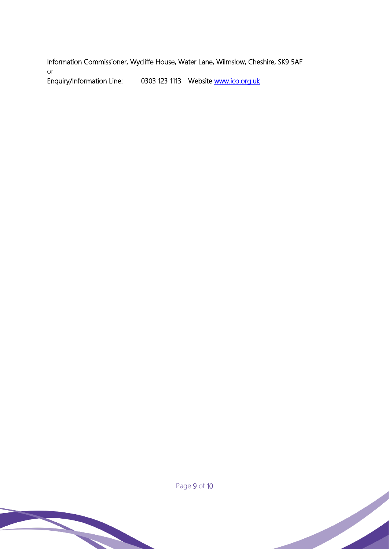Information Commissioner, Wycliffe House, Water Lane, Wilmslow, Cheshire, SK9 5AF or Enquiry/Information Line: 0303 123 1113 Website www.ico.org.uk



Page 9 of 10